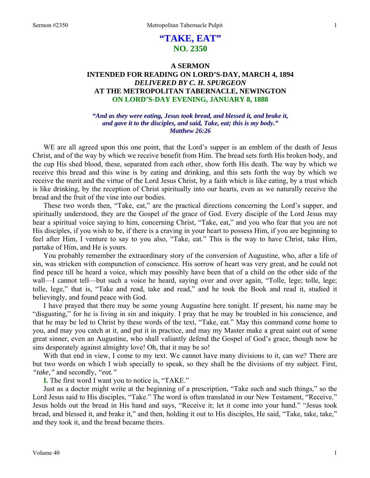# **"TAKE, EAT" NO. 2350**

## **A SERMON INTENDED FOR READING ON LORD'S-DAY, MARCH 4, 1894**  *DELIVERED BY C. H. SPURGEON*  **AT THE METROPOLITAN TABERNACLE, NEWINGTON ON LORD'S-DAY EVENING, JANUARY 8, 1888**

#### *"And as they were eating, Jesus took bread, and blessed it, and brake it, and gave it to the disciples, and said, Take, eat; this is my body." Matthew 26:26*

WE are all agreed upon this one point, that the Lord's supper is an emblem of the death of Jesus Christ, and of the way by which we receive benefit from Him. The bread sets forth His broken body, and the cup His shed blood, these, separated from each other, show forth His death. The way by which we receive this bread and this wine is by eating and drinking, and this sets forth the way by which we receive the merit and the virtue of the Lord Jesus Christ, by a faith which is like eating, by a trust which is like drinking, by the reception of Christ spiritually into our hearts, even as we naturally receive the bread and the fruit of the vine into our bodies.

These two words then, "Take, eat," are the practical directions concerning the Lord's supper, and spiritually understood, they are the Gospel of the grace of God. Every disciple of the Lord Jesus may hear a spiritual voice saying to him, concerning Christ, "Take, eat," and you who fear that you are not His disciples, if you wish to be, if there is a craving in your heart to possess Him, if you are beginning to feel after Him, I venture to say to you also, "Take, eat." This is the way to have Christ, take Him, partake of Him, and He is yours.

You probably remember the extraordinary story of the conversion of Augustine, who, after a life of sin, was stricken with compunction of conscience. His sorrow of heart was very great, and he could not find peace till he heard a voice, which may possibly have been that of a child on the other side of the wall—I cannot tell—but such a voice he heard, saying over and over again, "Tolle, lege; tolle, lege; tolle, lege," that is, "Take and read, take and read," and he took the Book and read it, studied it believingly, and found peace with God.

I have prayed that there may be some young Augustine here tonight. If present, his name may be "disgusting," for he is living in sin and iniquity. I pray that he may be troubled in his conscience, and that he may be led to Christ by these words of the text, "Take, eat." May this command come home to you, and may you catch at it, and put it in practice, and may my Master make a great saint out of some great sinner, even an Augustine, who shall valiantly defend the Gospel of God's grace, though now he sins desperately against almighty love! Oh, that it may be so!

With that end in view, I come to my text. We cannot have many divisions to it, can we? There are but two words on which I wish specially to speak, so they shall be the divisions of my subject. First, *"take,"* and secondly, *"eat."*

**I.** The first word I want you to notice is, "TAKE."

Just as a doctor might write at the beginning of a prescription, "Take such and such things," so the Lord Jesus said to His disciples, "Take." The word is often translated in our New Testament, "Receive." Jesus holds out the bread in His hand and says, "Receive it; let it come into your hand." "Jesus took bread, and blessed it, and brake it," and then, holding it out to His disciples, He said, "Take, take, take," and they took it, and the bread became theirs.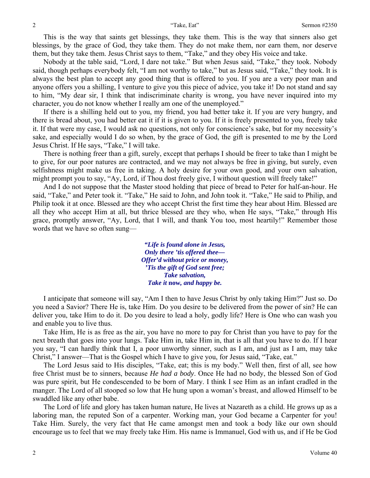This is the way that saints get blessings, they take them. This is the way that sinners also get blessings, by the grace of God, they take them. They do not make them, nor earn them, nor deserve them, but they take them. Jesus Christ says to them, "Take," and they obey His voice and take.

Nobody at the table said, "Lord, I dare not take." But when Jesus said, "Take," they took. Nobody said, though perhaps everybody felt, "I am not worthy to take," but as Jesus said, "Take," they took. It is always the best plan to accept any good thing that is offered to you. If you are a very poor man and anyone offers you a shilling, I venture to give you this piece of advice, you take it! Do not stand and say to him, "My dear sir, I think that indiscriminate charity is wrong, you have never inquired into my character, you do not know whether I really am one of the unemployed."

If there is a shilling held out to you, my friend, you had better take it. If you are very hungry, and there is bread about, you had better eat it if it is given to you. If it is freely presented to you, freely take it. If that were my case, I would ask no questions, not only for conscience's sake, but for my necessity's sake, and especially would I do so when, by the grace of God, the gift is presented to me by the Lord Jesus Christ. If He says, "Take," I will take.

There is nothing freer than a gift, surely, except that perhaps I should be freer to take than I might be to give, for our poor natures are contracted, and we may not always be free in giving, but surely, even selfishness might make us free in taking. A holy desire for your own good, and your own salvation, might prompt you to say, "Ay, Lord, if Thou dost freely give, I without question will freely take!"

And I do not suppose that the Master stood holding that piece of bread to Peter for half-an-hour. He said, "Take," and Peter took it. "Take," He said to John, and John took it. "Take," He said to Philip, and Philip took it at once. Blessed are they who accept Christ the first time they hear about Him. Blessed are all they who accept Him at all, but thrice blessed are they who, when He says, "Take," through His grace, promptly answer, "Ay, Lord, that I will, and thank You too, most heartily!" Remember those words that we have so often sung—

> *"Life is found alone in Jesus, Only there 'tis offered thee— Offer'd without price or money, 'Tis the gift of God sent free; Take salvation, Take it* **now***, and happy be.*

I anticipate that someone will say, "Am I then to have Jesus Christ by only taking Him?" Just so. Do you need a Savior? There He is, take Him. Do you desire to be delivered from the power of sin? He can deliver you, take Him to do it. Do you desire to lead a holy, godly life? Here is One who can wash you and enable you to live thus.

Take Him, He is as free as the air, you have no more to pay for Christ than you have to pay for the next breath that goes into your lungs. Take Him in, take Him in, that is all that you have to do. If I hear you say, "I can hardly think that I, a poor unworthy sinner, such as I am, and just as I am, may take Christ," I answer—That is the Gospel which I have to give you, for Jesus said, "Take, eat."

The Lord Jesus said to His disciples, "Take, eat; this is my body." Well then, first of all, see how free Christ must be to sinners, because *He had a body*. Once He had no body, the blessed Son of God was pure spirit, but He condescended to be born of Mary. I think I see Him as an infant cradled in the manger. The Lord of all stooped so low that He hung upon a woman's breast, and allowed Himself to be swaddled like any other babe.

The Lord of life and glory has taken human nature, He lives at Nazareth as a child. He grows up as a laboring man, the reputed Son of a carpenter. Working man, your God became a Carpenter for you! Take Him. Surely, the very fact that He came amongst men and took a body like our own should encourage us to feel that we may freely take Him. His name is Immanuel, God with us, and if He be God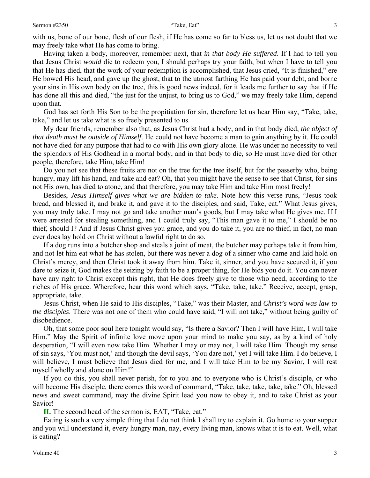with us, bone of our bone, flesh of our flesh, if He has come so far to bless us, let us not doubt that we may freely take what He has come to bring.

Having taken a body, moreover, remember next, that *in that body He suffered*. If I had to tell you that Jesus Christ *would* die to redeem you, I should perhaps try your faith, but when I have to tell you that He has died, that the work of your redemption is accomplished, that Jesus cried, "It is finished," ere He bowed His head, and gave up the ghost, that to the utmost farthing He has paid your debt, and borne your sins in His own body on the tree, this is good news indeed, for it leads me further to say that if He has done all this and died, "the just for the unjust, to bring us to God," we may freely take Him, depend upon that.

God has set forth His Son to be the propitiation for sin, therefore let us hear Him say, "Take, take, take," and let us take what is so freely presented to us.

My dear friends, remember also that, as Jesus Christ had a body, and in that body died, *the object of that death must be outside of Himself*. He could not have become a man to gain anything by it. He could not have died for any purpose that had to do with His own glory alone. He was under no necessity to veil the splendors of His Godhead in a mortal body, and in that body to die, so He must have died for other people, therefore, take Him, take Him!

Do you not see that these fruits are not on the tree for the tree itself, but for the passerby who, being hungry, may lift his hand, and take and eat? Oh, that you might have the sense to see that Christ, for sins not His own, has died to atone, and that therefore, you may take Him and take Him most freely!

Besides, *Jesus Himself gives what we are bidden to take*. Note how this verse runs, "Jesus took bread, and blessed it, and brake it, and gave it to the disciples, and said, Take, eat." What Jesus gives, you may truly take. I may not go and take another man's goods, but I may take what He gives me. If I were arrested for stealing something, and I could truly say, "This man gave it to me," I should be no thief, should I? And if Jesus Christ gives you grace, and you do take it, you are no thief, in fact, no man ever does lay hold on Christ without a lawful right to do so.

If a dog runs into a butcher shop and steals a joint of meat, the butcher may perhaps take it from him, and not let him eat what he has stolen, but there was never a dog of a sinner who came and laid hold on Christ's mercy, and then Christ took it away from him. Take it, sinner, and you have secured it, if you dare to seize it, God makes the seizing by faith to be a proper thing, for He bids you do it. You can never have any right to Christ except this right, that He does freely give to those who need, according to the riches of His grace. Wherefore, hear this word which says, "Take, take, take." Receive, accept, grasp, appropriate, take.

Jesus Christ, when He said to His disciples, "Take," was their Master, and *Christ's word was law to the disciples*. There was not one of them who could have said, "I will not take," without being guilty of disobedience.

Oh, that some poor soul here tonight would say, "Is there a Savior? Then I will have Him, I will take Him." May the Spirit of infinite love move upon your mind to make you say, as by a kind of holy desperation, "I will even now take Him. Whether I may or may not, I will take Him. Though my sense of sin says, 'You must not,' and though the devil says, 'You dare not,' yet I will take Him. I do believe, I will believe, I must believe that Jesus died for me, and I will take Him to be my Savior, I will rest myself wholly and alone on Him!"

If you do this, you shall never perish, for to you and to everyone who is Christ's disciple, or who will become His disciple, there comes this word of command, "Take, take, take, take, take." Oh, blessed news and sweet command, may the divine Spirit lead you now to obey it, and to take Christ as your Savior!

**II.** The second head of the sermon is, EAT, "Take, eat."

Eating is such a very simple thing that I do not think I shall try to explain it. Go home to your supper and you will understand it, every hungry man, nay, every living man, knows what it is to eat. Well, what is eating?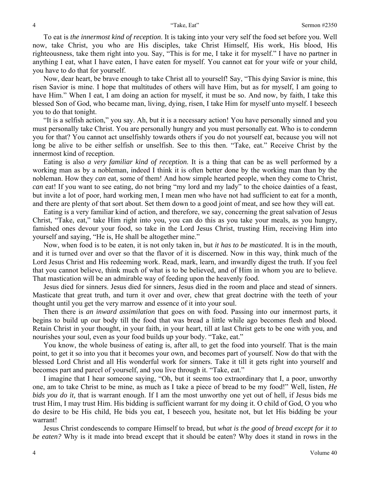To eat is *the innermost kind of reception*. It is taking into your very self the food set before you. Well now, take Christ, you who are His disciples, take Christ Himself, His work, His blood, His righteousness, take them right into you. Say, "This is for me, I take it for myself." I have no partner in anything I eat, what I have eaten, I have eaten for myself. You cannot eat for your wife or your child, you have to do that for yourself.

Now, dear heart, be brave enough to take Christ all to yourself! Say, "This dying Savior is mine, this risen Savior is mine. I hope that multitudes of others will have Him, but as for myself, I am going to have Him." When I eat, I am doing an action for myself, it must be so. And now, by faith, I take this blessed Son of God, who became man, living, dying, risen, I take Him for myself unto myself. I beseech you to do that tonight.

"It is a selfish action," you say. Ah, but it is a necessary action! You have personally sinned and you must personally take Christ. You are personally hungry and you must personally eat. Who is to condemn you for that? You cannot act unselfishly towards others if you do not yourself eat, because you will not long be alive to be either selfish or unselfish. See to this then. "Take, eat." Receive Christ by the innermost kind of reception.

Eating is also *a very familiar kind of reception*. It is a thing that can be as well performed by a working man as by a nobleman, indeed I think it is often better done by the working man than by the nobleman. How they *can* eat, some of them! And how simple hearted people, when they come to Christ, *can* eat! If you want to see eating, do not bring "my lord and my lady" to the choice dainties of a feast, but invite a lot of poor, hard working men, I mean men who have not had sufficient to eat for a month, and there are plenty of that sort about. Set them down to a good joint of meat, and see how they will eat.

Eating is a very familiar kind of action, and therefore, we say, concerning the great salvation of Jesus Christ, "Take, eat," take Him right into you, you can do this as you take your meals, as you hungry, famished ones devour your food, so take in the Lord Jesus Christ, trusting Him, receiving Him into yourself and saying, "He is, He shall be altogether mine."

Now, when food is to be eaten, it is not only taken in, but *it has to be masticated*. It is in the mouth, and it is turned over and over so that the flavor of it is discerned. Now in this way, think much of the Lord Jesus Christ and His redeeming work. Read, mark, learn, and inwardly digest the truth. If you feel that you cannot believe, think much of what is to be believed, and of Him in whom you are to believe. That mastication will be an admirable way of feeding upon the heavenly food.

Jesus died for sinners. Jesus died for sinners, Jesus died in the room and place and stead of sinners. Masticate that great truth, and turn it over and over, chew that great doctrine with the teeth of your thought until you get the very marrow and essence of it into your soul.

Then there is *an inward assimilation* that goes on with food. Passing into our innermost parts, it begins to build up our body till the food that was bread a little while ago becomes flesh and blood. Retain Christ in your thought, in your faith, in your heart, till at last Christ gets to be one with you, and nourishes your soul, even as your food builds up your body. "Take, eat."

You know, the whole business of eating is, after all, to get the food into yourself. That is the main point, to get it so into you that it becomes your own, and becomes part of yourself. Now do that with the blessed Lord Christ and all His wonderful work for sinners. Take it till it gets right into yourself and becomes part and parcel of yourself, and you live through it. "Take, eat."

I imagine that I hear someone saying, "Oh, but it seems too extraordinary that I, a poor, unworthy one, am to take Christ to be mine, as much as I take a piece of bread to be my food!" Well, listen, *He bids you do it,* that is warrant enough. If I am the most unworthy one yet out of hell, if Jesus bids me trust Him, I may trust Him. His bidding is sufficient warrant for my doing it. O child of God, O you who do desire to be His child, He bids you eat, I beseech you, hesitate not, but let His bidding be your warrant!

Jesus Christ condescends to compare Himself to bread, but *what is the good of bread except for it to be eaten?* Why is it made into bread except that it should be eaten? Why does it stand in rows in the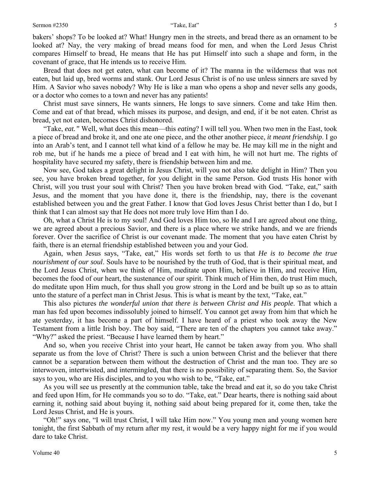#### Sermon #2350 5

bakers' shops? To be looked at? What! Hungry men in the streets, and bread there as an ornament to be looked at? Nay, the very making of bread means food for men, and when the Lord Jesus Christ compares Himself to bread, He means that He has put Himself into such a shape and form, in the covenant of grace, that He intends us to receive Him.

Bread that does not get eaten, what can become of it? The manna in the wilderness that was not eaten, but laid up, bred worms and stank. Our Lord Jesus Christ is of no use unless sinners are saved by Him. A Savior who saves nobody? Why He is like a man who opens a shop and never sells any goods, or a doctor who comes to a town and never has any patients!

Christ must save sinners, He wants sinners, He longs to save sinners. Come and take Him then. Come and eat of that bread, which misses its purpose, and design, and end, if it be not eaten. Christ as bread, yet not eaten, becomes Christ dishonored.

"Take, *eat."* Well, what does this mean—this *eating*? I will tell you. When two men in the East, took a piece of bread and broke it, and one ate one piece, and the other another piece, *it meant friendship*. I go into an Arab's tent, and I cannot tell what kind of a fellow he may be. He may kill me in the night and rob me, but if he hands me a piece of bread and I eat with him, he will not hurt me. The rights of hospitality have secured my safety, there is friendship between him and me.

Now see, God takes a great delight in Jesus Christ, will you not also take delight in Him? Then you see, you have broken bread together, for you delight in the same Person. God trusts His honor with Christ, will you trust your soul with Christ? Then you have broken bread with God. "Take, eat," saith Jesus, and the moment that you have done it, there is the friendship, nay, there is the covenant established between you and the great Father. I know that God loves Jesus Christ better than I do, but I think that I can almost say that He does not more truly love Him than I do.

Oh, what a Christ He is to my soul! And God loves Him too, so He and I are agreed about one thing, we are agreed about a precious Savior, and there is a place where we strike hands, and we are friends forever. Over the sacrifice of Christ is our covenant made. The moment that you have eaten Christ by faith, there is an eternal friendship established between you and your God.

Again, when Jesus says, "Take, eat," His words set forth to us that *He is to become the true nourishment of our soul*. Souls have to be nourished by the truth of God, that is their spiritual meat, and the Lord Jesus Christ, when we think of Him, meditate upon Him, believe in Him, and receive Him, becomes the food of our heart, the sustenance of our spirit. Think much of Him then, do trust Him much, do meditate upon Him much, for thus shall you grow strong in the Lord and be built up so as to attain unto the stature of a perfect man in Christ Jesus. This is what is meant by the text, "Take, eat."

This also pictures *the wonderful union that there is between Christ and His people*. That which a man has fed upon becomes indissolubly joined to himself. You cannot get away from him that which he ate yesterday, it has become a part of himself. I have heard of a priest who took away the New Testament from a little Irish boy. The boy said, "There are ten of the chapters you cannot take away." "Why?" asked the priest. "Because I have learned them by heart."

And so, when you receive Christ into your heart, He cannot be taken away from you. Who shall separate us from the love of Christ? There is such a union between Christ and the believer that there cannot be a separation between them without the destruction of Christ and the man too. They are so interwoven, intertwisted, and intermingled, that there is no possibility of separating them. So, the Savior says to you, who are His disciples, and to you who wish to be, "Take, eat."

As you will see us presently at the communion table, take the bread and eat it, so do you take Christ and feed upon Him, for He commands you so to do. "Take, eat." Dear hearts, there is nothing said about earning it, nothing said about buying it, nothing said about being prepared for it, come then, take the Lord Jesus Christ, and He is yours.

"Oh!" says one, "I will trust Christ, I will take Him now." You young men and young women here tonight, the first Sabbath of my return after my rest, it would be a very happy night for me if you would dare to take Christ.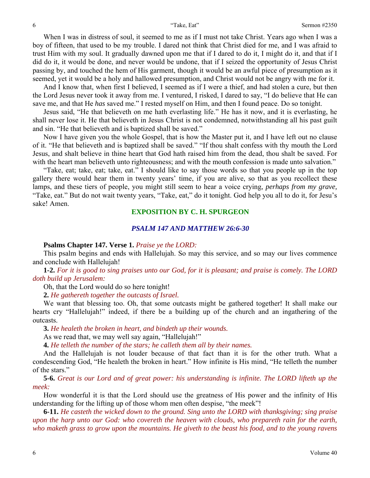When I was in distress of soul, it seemed to me as if I must not take Christ. Years ago when I was a boy of fifteen, that used to be my trouble. I dared not think that Christ died for me, and I was afraid to trust Him with my soul. It gradually dawned upon me that if I dared to do it, I might do it, and that if I did do it, it would be done, and never would be undone, that if I seized the opportunity of Jesus Christ passing by, and touched the hem of His garment, though it would be an awful piece of presumption as it seemed, yet it would be a holy and hallowed presumption, and Christ would not be angry with me for it.

And I know that, when first I believed, I seemed as if I were a thief, and had stolen a cure, but then the Lord Jesus never took it away from me. I ventured, I risked, I dared to say, "I do believe that He can save me, and that He *has* saved me." I rested myself on Him, and then I found peace. Do so tonight.

Jesus said, "He that believeth on me hath everlasting life." He has it now, and it is everlasting, he shall never lose it. He that believeth in Jesus Christ is not condemned, notwithstanding all his past guilt and sin. "He that believeth and is baptized shall be saved."

Now I have given you the whole Gospel, that is how the Master put it, and I have left out no clause of it. "He that believeth and is baptized shall be saved." "If thou shalt confess with thy mouth the Lord Jesus, and shalt believe in thine heart that God hath raised him from the dead, thou shalt be saved. For with the heart man believeth unto righteousness; and with the mouth confession is made unto salvation."

"Take, eat; take, eat; take, eat." I should like to say those words so that you people up in the top gallery there would hear them in twenty years' time, if you are alive, so that as you recollect these lamps, and these tiers of people, you might still seem to hear a voice crying, *perhaps from my grave,* "Take, eat." But do not wait twenty years, "Take, eat," do it tonight. God help you all to do it, for Jesu's sake! Amen.

### **EXPOSITION BY C. H. SPURGEON**

#### *PSALM 147 AND MATTHEW 26:6-30*

#### **Psalms Chapter 147. Verse 1.** *Praise ye the LORD:*

This psalm begins and ends with Hallelujah. So may this service, and so may our lives commence and conclude with Hallelujah!

**1-2.** *For it is good to sing praises unto our God, for it is pleasant; and praise is comely. The LORD doth build up Jerusalem:* 

Oh, that the Lord would do so here tonight!

**2.** *He gathereth together the outcasts of Israel.* 

We want that blessing too. Oh, that some outcasts might be gathered together! It shall make our hearts cry "Hallelujah!" indeed, if there be a building up of the church and an ingathering of the outcasts.

**3.** *He healeth the broken in heart, and bindeth up their wounds.* 

As we read that, we may well say again, "Hallelujah!"

**4.** *He telleth the number of the stars; he calleth them all by their names.* 

And the Hallelujah is not louder because of that fact than it is for the other truth. What a condescending God, "He healeth the broken in heart." How infinite is His mind, "He telleth the number of the stars."

**5-6.** *Great is our Lord and of great power: his understanding is infinite. The LORD lifteth up the meek:* 

How wonderful it is that the Lord should use the greatness of His power and the infinity of His understanding for the lifting up of those whom men often despise, "the meek"!

**6-11.** *He casteth the wicked down to the ground. Sing unto the LORD with thanksgiving; sing praise upon the harp unto our God: who covereth the heaven with clouds, who prepareth rain for the earth, who maketh grass to grow upon the mountains. He giveth to the beast his food, and to the young ravens*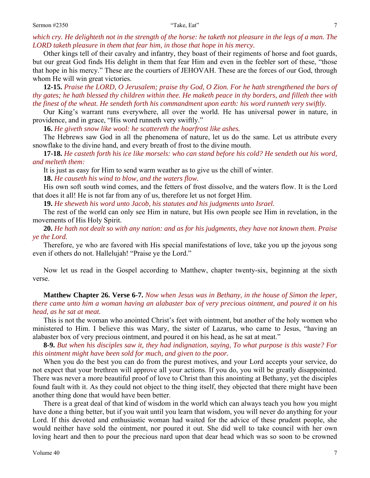which cry. He delighteth not in the strength of the horse: he taketh not pleasure in the legs of a man. The *LORD taketh pleasure in them that fear him, in those that hope in his mercy.* 

Other kings tell of their cavalry and infantry, they boast of their regiments of horse and foot guards, but our great God finds His delight in them that fear Him and even in the feebler sort of these, "those that hope in his mercy." These are the courtiers of JEHOVAH. These are the forces of our God, through whom He will win great victories.

**12-15.** *Praise the LORD, O Jerusalem; praise thy God, O Zion. For he hath strengthened the bars of thy gates; he hath blessed thy children within thee. He maketh peace in thy borders, and filleth thee with the finest of the wheat. He sendeth forth his commandment upon earth: his word runneth very swiftly.* 

Our King's warrant runs everywhere, all over the world. He has universal power in nature, in providence, and in grace, "His word runneth very swiftly."

**16.** *He giveth snow like wool: he scattereth the hoarfrost like ashes.* 

The Hebrews saw God in all the phenomena of nature, let us do the same. Let us attribute every snowflake to the divine hand, and every breath of frost to the divine mouth.

**17-18.** *He casteth forth his ice like morsels: who can stand before his cold? He sendeth out his word, and melteth them:* 

It is just as easy for Him to send warm weather as to give us the chill of winter.

**18.** *He causeth his wind to blow, and the waters flow.* 

His own soft south wind comes, and the fetters of frost dissolve, and the waters flow. It is the Lord that does it all! He is not far from any of us, therefore let us not forget Him.

**19.** *He sheweth his word unto Jacob, his statutes and his judgments unto Israel.* 

The rest of the world can only see Him in nature, but His own people see Him in revelation, in the movements of His Holy Spirit.

**20.** *He hath not dealt so with any nation: and as for his judgments, they have not known them. Praise ye the Lord.* 

Therefore, ye who are favored with His special manifestations of love, take you up the joyous song even if others do not. Hallelujah! "Praise ye the Lord."

Now let us read in the Gospel according to Matthew, chapter twenty-six, beginning at the sixth verse.

**Matthew Chapter 26. Verse 6-7.** *Now when Jesus was in Bethany, in the house of Simon the leper, there came unto him a woman having an alabaster box of very precious ointment, and poured it on his head, as he sat at meat.* 

This is not the woman who anointed Christ's feet with ointment, but another of the holy women who ministered to Him. I believe this was Mary, the sister of Lazarus, who came to Jesus, "having an alabaster box of very precious ointment, and poured it on his head, as he sat at meat."

**8-9.** *But when his disciples saw it, they had indignation, saying, To what purpose is this waste? For this ointment might have been sold for much, and given to the poor.* 

When you do the best you can do from the purest motives, and your Lord accepts your service, do not expect that your brethren will approve all your actions. If you do, you will be greatly disappointed. There was never a more beautiful proof of love to Christ than this anointing at Bethany, yet the disciples found fault with it. As they could not object to the thing itself, they objected that there might have been another thing done that would have been better.

There is a great deal of that kind of wisdom in the world which can always teach you how you might have done a thing better, but if you wait until you learn that wisdom, you will never do anything for your Lord. If this devoted and enthusiastic woman had waited for the advice of these prudent people, she would neither have sold the ointment, nor poured it out. She did well to take council with her own loving heart and then to pour the precious nard upon that dear head which was so soon to be crowned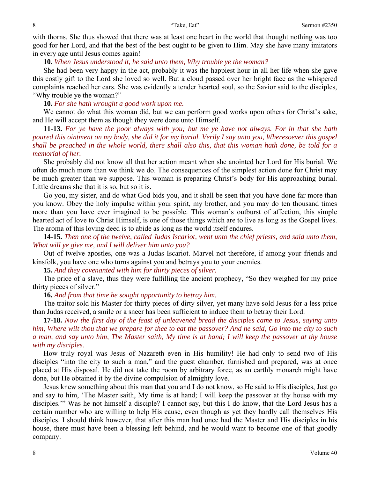with thorns. She thus showed that there was at least one heart in the world that thought nothing was too good for her Lord, and that the best of the best ought to be given to Him. May she have many imitators in every age until Jesus comes again!

**10.** *When Jesus understood it, he said unto them, Why trouble ye the woman?* 

She had been very happy in the act, probably it was the happiest hour in all her life when she gave this costly gift to the Lord she loved so well. But a cloud passed over her bright face as the whispered complaints reached her ears. She was evidently a tender hearted soul, so the Savior said to the disciples, "Why trouble ye the woman?"

**10.** *For she hath wrought a good work upon me.* 

We cannot do what this woman did, but we can perform good works upon others for Christ's sake, and He will accept them as though they were done unto Himself.

**11-13.** *For ye have the poor always with you; but me ye have not always. For in that she hath poured this ointment on my body, she did it for my burial. Verily I say unto you, Wheresoever this gospel shall be preached in the whole world, there shall also this, that this woman hath done, be told for a memorial of her.* 

She probably did not know all that her action meant when she anointed her Lord for His burial. We often do much more than we think we do. The consequences of the simplest action done for Christ may be much greater than we suppose. This woman is preparing Christ's body for His approaching burial. Little dreams she that it is so, but so it is.

Go you, my sister, and do what God bids you, and it shall be seen that you have done far more than you know. Obey the holy impulse within your spirit, my brother, and you may do ten thousand times more than you have ever imagined to be possible. This woman's outburst of affection, this simple hearted act of love to Christ Himself, is one of those things which are to live as long as the Gospel lives. The aroma of this loving deed is to abide as long as the world itself endures.

**14-15.** *Then one of the twelve, called Judas Iscariot, went unto the chief priests, and said unto them, What will ye give me, and I will deliver him unto you?* 

Out of twelve apostles, one was a Judas Iscariot. Marvel not therefore, if among your friends and kinsfolk, you have one who turns against you and betrays you to your enemies.

**15.** *And they covenanted with him for thirty pieces of silver.* 

The price of a slave, thus they were fulfilling the ancient prophecy, "So they weighed for my price thirty pieces of silver."

**16.** *And from that time he sought opportunity to betray him.* 

The traitor sold his Master for thirty pieces of dirty silver, yet many have sold Jesus for a less price than Judas received, a smile or a sneer has been sufficient to induce them to betray their Lord.

**17-18.** *Now the first day of the feast of unleavened bread the disciples came to Jesus, saying unto him, Where wilt thou that we prepare for thee to eat the passover? And he said, Go into the city to such a man, and say unto him, The Master saith, My time is at hand; I will keep the passover at thy house with my disciples.* 

How truly royal was Jesus of Nazareth even in His humility! He had only to send two of His disciples "into the city to such a man," and the guest chamber, furnished and prepared, was at once placed at His disposal. He did not take the room by arbitrary force, as an earthly monarch might have done, but He obtained it by the divine compulsion of almighty love.

Jesus knew something about this man that you and I do not know, so He said to His disciples, Just go and say to him, 'The Master saith, My time is at hand; I will keep the passover at thy house with my disciples.'" Was he not himself a disciple? I cannot say, but this I do know, that the Lord Jesus has a certain number who are willing to help His cause, even though as yet they hardly call themselves His disciples. I should think however, that after this man had once had the Master and His disciples in his house, there must have been a blessing left behind, and he would want to become one of that goodly company.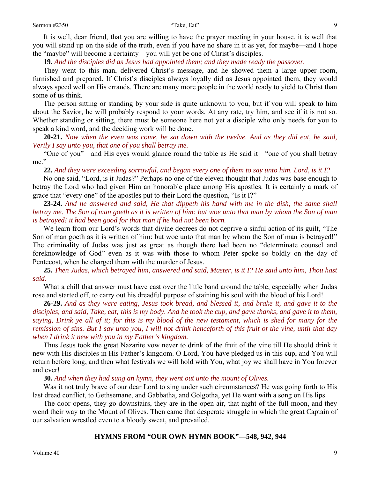It is well, dear friend, that you are willing to have the prayer meeting in your house, it is well that you will stand up on the side of the truth, even if you have no share in it as yet, for maybe—and I hope the "maybe" will become a certainty—you will yet be one of Christ's disciples.

**19.** *And the disciples did as Jesus had appointed them; and they made ready the passover.* 

They went to this man, delivered Christ's message, and he showed them a large upper room, furnished and prepared. If Christ's disciples always loyally did as Jesus appointed them, they would always speed well on His errands. There are many more people in the world ready to yield to Christ than some of us think.

The person sitting or standing by your side is quite unknown to you, but if you will speak to him about the Savior, he will probably respond to your words. At any rate, try him, and see if it is not so. Whether standing or sitting, there must be someone here not yet a disciple who only needs for you to speak a kind word, and the deciding work will be done.

**20-21.** *Now when the even was come, he sat down with the twelve. And as they did eat, he said, Verily I say unto you, that one of you shall betray me.* 

"One of you"—and His eyes would glance round the table as He said it—"one of you shall betray me."

**22.** *And they were exceeding sorrowful, and began every one of them to say unto him. Lord, is it I?* 

No one said, "Lord, is it Judas?" Perhaps no one of the eleven thought that Judas was base enough to betray the Lord who had given Him an honorable place among His apostles. It is certainly a mark of grace that "every one" of the apostles put to their Lord the question, "Is it I?"

**23-24.** *And he answered and said, He that dippeth his hand with me in the dish, the same shall betray me. The Son of man goeth as it is written of him: but woe unto that man by whom the Son of man is betrayed! it had been good for that man if he had not been born.* 

We learn from our Lord's words that divine decrees do not deprive a sinful action of its guilt, "The Son of man goeth as it is written of him: but woe unto that man by whom the Son of man is betrayed!" The criminality of Judas was just as great as though there had been no "determinate counsel and foreknowledge of God" even as it was with those to whom Peter spoke so boldly on the day of Pentecost, when he charged them with the murder of Jesus.

**25.** *Then Judas, which betrayed him, answered and said, Master, is it I? He said unto him, Thou hast said.* 

What a chill that answer must have cast over the little band around the table, especially when Judas rose and started off, to carry out his dreadful purpose of staining his soul with the blood of his Lord!

**26-29.** *And as they were eating, Jesus took bread, and blessed it, and brake it, and gave it to the disciples, and said, Take, eat; this is my body. And he took the cup, and gave thanks, and gave it to them, saying, Drink ye all of it; for this is my blood of the new testament, which is shed for many for the remission of sins. But I say unto you, I will not drink henceforth of this fruit of the vine, until that day when I drink it new with you in my Father's kingdom.* 

Thus Jesus took the great Nazarite vow never to drink of the fruit of the vine till He should drink it new with His disciples in His Father's kingdom. O Lord, You have pledged us in this cup, and You will return before long, and then what festivals we will hold with You, what joy we shall have in You forever and ever!

#### **30.** *And when they had sung an hymn, they went out unto the mount of Olives.*

Was it not truly brave of our dear Lord to sing under such circumstances? He was going forth to His last dread conflict, to Gethsemane, and Gabbatha, and Golgotha, yet He went with a song on His lips.

The door opens, they go downstairs, they are in the open air, that night of the full moon, and they wend their way to the Mount of Olives. Then came that desperate struggle in which the great Captain of our salvation wrestled even to a bloody sweat, and prevailed.

#### **HYMNS FROM "OUR OWN HYMN BOOK"—548, 942, 944**